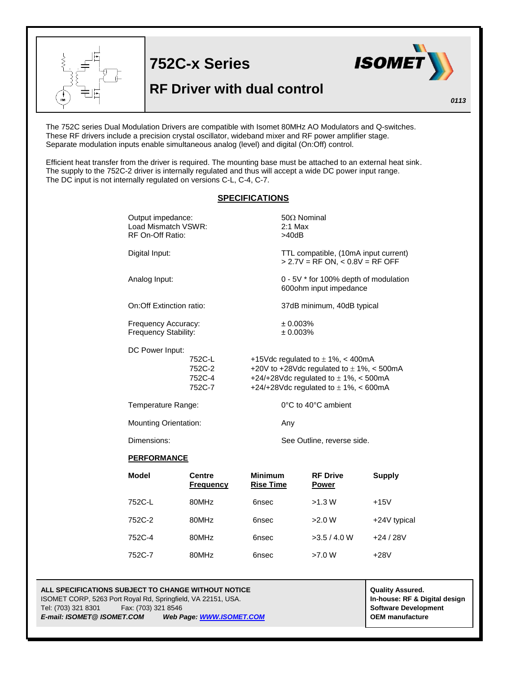

The 752C series Dual Modulation Drivers are compatible with Isomet 80MHz AO Modulators and Q-switches. These RF drivers include a precision crystal oscillator, wideband mixer and RF power amplifier stage. Separate modulation inputs enable simultaneous analog (level) and digital (On:Off) control.

Efficient heat transfer from the driver is required. The mounting base must be attached to an external heat sink. The supply to the 752C-2 driver is internally regulated and thus will accept a wide DC power input range. The DC input is not internally regulated on versions C-L, C-4, C-7.

## **SPECIFICATIONS**

| Output impedance:<br>Load Mismatch VSWR:<br>RF On-Off Ratio: |                                      | $50\Omega$ Nominal<br>$2:1$ Max<br>>40dB                                                                                                                                         |  |  |
|--------------------------------------------------------------|--------------------------------------|----------------------------------------------------------------------------------------------------------------------------------------------------------------------------------|--|--|
| Digital Input:                                               |                                      | TTL compatible, (10mA input current)<br>$> 2.7V = RF ON, < 0.8V = RF OFF$                                                                                                        |  |  |
| Analog Input:                                                |                                      | 0 - 5V * for 100% depth of modulation<br>600ohm input impedance                                                                                                                  |  |  |
| On:Off Extinction ratio:                                     |                                      | 37dB minimum, 40dB typical<br>± 0.003%<br>± 0.003%                                                                                                                               |  |  |
| Frequency Accuracy:<br><b>Frequency Stability:</b>           |                                      |                                                                                                                                                                                  |  |  |
| DC Power Input:                                              | 752C-L<br>752C-2<br>752C-4<br>752C-7 | +15Vdc regulated to $\pm$ 1%, < 400mA<br>+20V to +28Vdc regulated to $\pm$ 1%, < 500mA<br>+24/+28Vdc regulated to $\pm$ 1%, < 500mA<br>+24/+28Vdc regulated to $\pm$ 1%, < 600mA |  |  |
| Temperature Range:                                           |                                      | 0°C to 40°C ambient                                                                                                                                                              |  |  |
| <b>Mounting Orientation:</b>                                 |                                      | Any                                                                                                                                                                              |  |  |
| Dimensions:                                                  |                                      | See Outline, reverse side.                                                                                                                                                       |  |  |

## **PERFORMANCE**

| <b>Model</b> | <b>Centre</b><br><b>Frequency</b> | <b>Minimum</b><br><b>Rise Time</b> | <b>RF Drive</b><br><b>Power</b> | <b>Supply</b> |
|--------------|-----------------------------------|------------------------------------|---------------------------------|---------------|
| 752C-L       | 80MHz                             | 6nsec                              | >1.3 W                          | $+15V$        |
| 752C-2       | 80MHz                             | 6nsec                              | >2.0 W                          | +24V typical  |
| 752C-4       | 80MHz                             | 6nsec                              | >3.5/4.0 W                      | $+24/28V$     |
| 752C-7       | 80MHz                             | 6nsec                              | >7.0 W                          | $+28V$        |

## **ALL SPECIFICATIONS SUBJECT TO CHANGE WITHOUT NOTICE ALL SPECIFICATIONS SUBJECT TO CHANGE WITHOUT NOTICE** ISOMET CORP, 5263 Port Royal Rd, Springfield, VA 22151, USA. **In-house: RF & Digital design**

Tel: (703) 321 8301 Fax: (703) 321 8546 **Software Development** *E-mail: ISOMET@ ISOMET.COM Web Page: WWW.ISOMET.COM* **OEM manufacture**